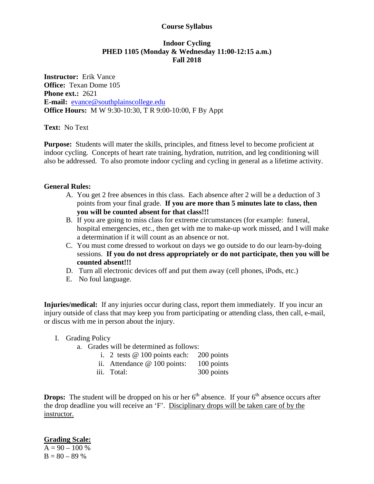## **Course Syllabus**

## **Indoor Cycling PHED 1105 (Monday & Wednesday 11:00-12:15 a.m.) Fall 2018**

**Instructor:** Erik Vance **Office:** Texan Dome 105 **Phone ext.:** 2621 **E-mail:** [evance@southplainscollege.edu](mailto:evance@southplainscollege.edu) **Office Hours:** M W 9:30-10:30, T R 9:00-10:00, F By Appt

**Text:** No Text

**Purpose:** Students will mater the skills, principles, and fitness level to become proficient at indoor cycling. Concepts of heart rate training, hydration, nutrition, and leg conditioning will also be addressed. To also promote indoor cycling and cycling in general as a lifetime activity.

## **General Rules:**

- A. You get 2 free absences in this class. Each absence after 2 will be a deduction of 3 points from your final grade. **If you are more than 5 minutes late to class, then you will be counted absent for that class!!!**
- B. If you are going to miss class for extreme circumstances (for example: funeral, hospital emergencies, etc., then get with me to make-up work missed, and I will make a determination if it will count as an absence or not.
- C. You must come dressed to workout on days we go outside to do our learn-by-doing sessions. **If you do not dress appropriately or do not participate, then you will be counted absent!!!**
- D. Turn all electronic devices off and put them away (cell phones, iPods, etc.)
- E. No foul language.

**Injuries/medical:** If any injuries occur during class, report them immediately. If you incur an injury outside of class that may keep you from participating or attending class, then call, e-mail, or discus with me in person about the injury.

- I. Grading Policy
	- a. Grades will be determined as follows:
		- i. 2 tests @ 100 points each: 200 points
		- ii. Attendance @ 100 points: 100 points
		- iii. Total: 300 points

**Drops:** The student will be dropped on his or her  $6<sup>th</sup>$  absence. If your  $6<sup>th</sup>$  absence occurs after the drop deadline you will receive an 'F'. Disciplinary drops will be taken care of by the instructor.

**Grading Scale:**

 $A = 90 - 100 %$  $B = 80 - 89%$